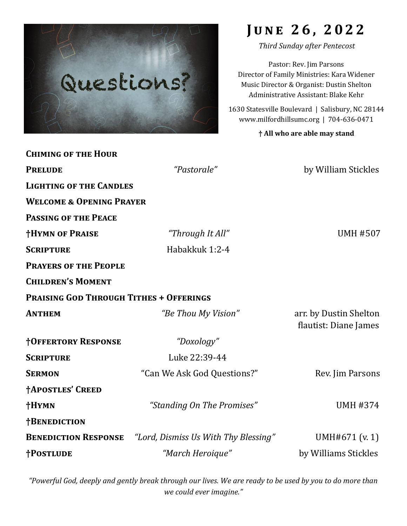

# **J u n e 2 6 , 2 0 2 2**

*Third Sunday after Pentecost*

Pastor: Rev. Jim Parsons Director of Family Ministries: Kara Widener Music Director & Organist: Dustin Shelton Administrative Assistant: Blake Kehr

1630 Statesville Boulevard | Salisbury, NC 28144 www.milfordhillsumc.org | 704-636-0471

#### **† All who are able may stand**

| <b>CHIMING OF THE HOUR</b>                     |                                      |                                                 |  |  |
|------------------------------------------------|--------------------------------------|-------------------------------------------------|--|--|
| <b>PRELUDE</b>                                 | "Pastorale"                          | by William Stickles                             |  |  |
| <b>LIGHTING OF THE CANDLES</b>                 |                                      |                                                 |  |  |
| <b>WELCOME &amp; OPENING PRAYER</b>            |                                      |                                                 |  |  |
| <b>PASSING OF THE PEACE</b>                    |                                      |                                                 |  |  |
| <b>†HYMN OF PRAISE</b>                         | "Through It All"                     | <b>UMH #507</b>                                 |  |  |
| <b>SCRIPTURE</b>                               | Habakkuk 1:2-4                       |                                                 |  |  |
| <b>PRAYERS OF THE PEOPLE</b>                   |                                      |                                                 |  |  |
| <b>CHILDREN'S MOMENT</b>                       |                                      |                                                 |  |  |
| <b>PRAISING GOD THROUGH TITHES + OFFERINGS</b> |                                      |                                                 |  |  |
| <b>ANTHEM</b>                                  | "Be Thou My Vision"                  | arr. by Dustin Shelton<br>flautist: Diane James |  |  |
| <b>†OFFERTORY RESPONSE</b>                     | "Doxology"                           |                                                 |  |  |
| <b>SCRIPTURE</b>                               | Luke 22:39-44                        |                                                 |  |  |
| <b>SERMON</b>                                  | "Can We Ask God Questions?"          | Rev. Jim Parsons                                |  |  |
| <b>†APOSTLES' CREED</b>                        |                                      |                                                 |  |  |
| †HYMN                                          | "Standing On The Promises"           | <b>UMH #374</b>                                 |  |  |
| †BENEDICTION                                   |                                      |                                                 |  |  |
| <b>BENEDICTION RESPONSE</b>                    | "Lord, Dismiss Us With Thy Blessing" | UMH#671 (v. 1)                                  |  |  |
| <b>†POSTLUDE</b>                               | "March Heroique"                     | by Williams Stickles                            |  |  |

*"Powerful God, deeply and gently break through our lives. We are ready to be used by you to do more than we could ever imagine."*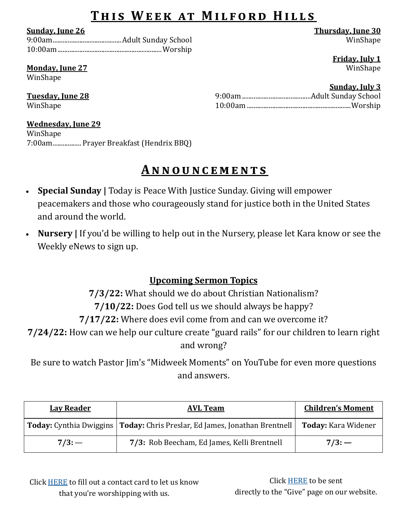## THIS WEEK AT MILFORD HILLS

**Sunday, June 26**

## **Monday, June 27**

WinShape

### **Tuesday, June 28** WinShape

**Wednesday, June 29**

WinShape 7:00am................. Prayer Breakfast (Hendrix BBQ)

## **A n n o u n c e m e n t s**

- **Special Sunday |** Today is Peace With Justice Sunday. Giving will empower peacemakers and those who courageously stand for justice both in the United States and around the world.
- **Nursery |** If you'd be willing to help out in the Nursery, please let Kara know or see the Weekly eNews to sign up.

## **Upcoming Sermon Topics**

**7/3/22:** What should we do about Christian Nationalism?

**7/10/22:** Does God tell us we should always be happy?

**7/17/22:** Where does evil come from and can we overcome it?

**7/24/22:** How can we help our culture create "guard rails" for our children to learn right and wrong?

Be sure to watch Pastor Jim's "Midweek Moments" on YouTube for even more questions and answers.

| <b>Lay Reader</b> | <b>AVL Team</b>                                                                                    | <b>Children's Moment</b> |
|-------------------|----------------------------------------------------------------------------------------------------|--------------------------|
|                   | Today: Cynthia Dwiggins   Today: Chris Preslar, Ed James, Jonathan Brentnell   Today: Kara Widener |                          |
| 7/3:              | 7/3: Rob Beecham, Ed James, Kelli Brentnell                                                        | 7/3:                     |

Click [HERE](https://docs.google.com/forms/d/1hK2oGvTc-04CMaft0R_asMCsCMfm6s5rqIgsbMY_Gcg/edit?usp=sharing) to fill out a contact card to let us know that you're worshipping with us.

Click [HERE](http://www.milfordhillsumc.org/give.html) to be sent directly to the "Give" page on our website.

**Thursday, June 30** WinShape

**Friday, July 1** WinShape

## **Sunday, July 3**